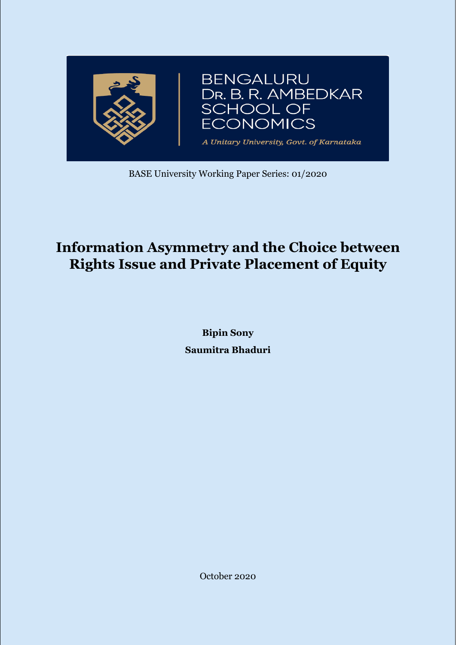

BASE University Working Paper Series: 01/2020

# **Information Asymmetry and the Choice between Rights Issue and Private Placement of Equity**

**Bipin Sony Saumitra Bhaduri**

October 2020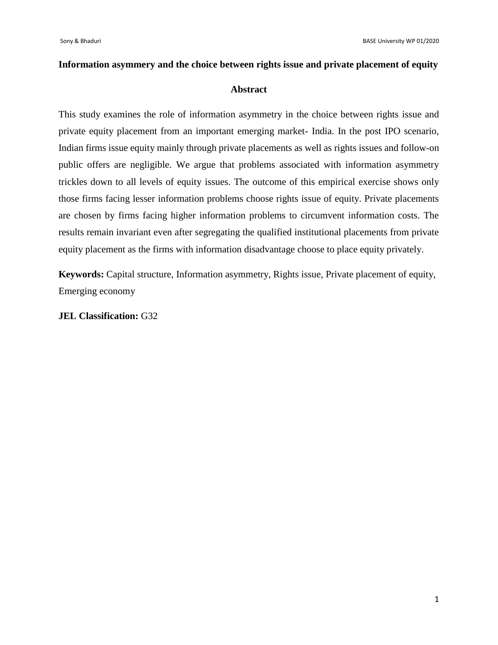#### **Information asymmery and the choice between rights issue and private placement of equity**

#### **Abstract**

This study examines the role of information asymmetry in the choice between rights issue and private equity placement from an important emerging market- India. In the post IPO scenario, Indian firms issue equity mainly through private placements as well as rights issues and follow-on public offers are negligible. We argue that problems associated with information asymmetry trickles down to all levels of equity issues. The outcome of this empirical exercise shows only those firms facing lesser information problems choose rights issue of equity. Private placements are chosen by firms facing higher information problems to circumvent information costs. The results remain invariant even after segregating the qualified institutional placements from private equity placement as the firms with information disadvantage choose to place equity privately.

**Keywords:** Capital structure, Information asymmetry, Rights issue, Private placement of equity, Emerging economy

**JEL Classification:** G32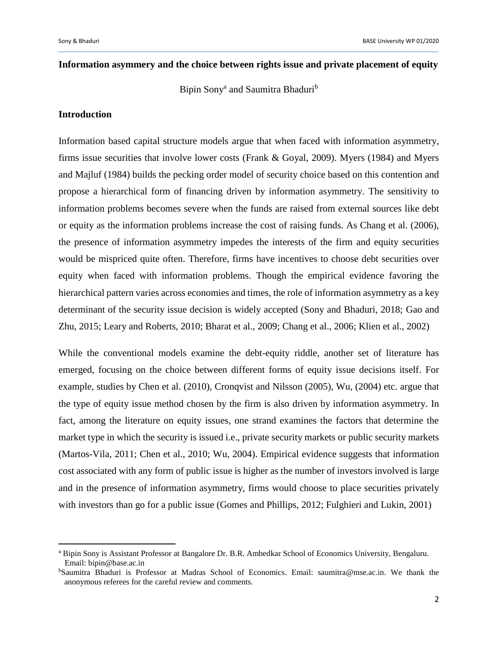#### **Information asymmery and the choice between rights issue and private placement of equity**

Bipin Sony<sup>a</sup> and Saumitra Bhaduri<sup>b</sup>

#### **Introduction**

 $\overline{\phantom{a}}$ 

Information based capital structure models argue that when faced with information asymmetry, firms issue securities that involve lower costs (Frank & Goyal, 2009). Myers (1984) and Myers and Majluf (1984) builds the pecking order model of security choice based on this contention and propose a hierarchical form of financing driven by information asymmetry. The sensitivity to information problems becomes severe when the funds are raised from external sources like debt or equity as the information problems increase the cost of raising funds. As Chang et al. (2006), the presence of information asymmetry impedes the interests of the firm and equity securities would be mispriced quite often. Therefore, firms have incentives to choose debt securities over equity when faced with information problems. Though the empirical evidence favoring the hierarchical pattern varies across economies and times, the role of information asymmetry as a key determinant of the security issue decision is widely accepted (Sony and Bhaduri, 2018; Gao and Zhu, 2015; Leary and Roberts, 2010; Bharat et al., 2009; Chang et al., 2006; Klien et al., 2002)

While the conventional models examine the debt-equity riddle, another set of literature has emerged, focusing on the choice between different forms of equity issue decisions itself. For example, studies by Chen et al. (2010), Cronqvist and Nilsson (2005), Wu, (2004) etc. argue that the type of equity issue method chosen by the firm is also driven by information asymmetry. In fact, among the literature on equity issues, one strand examines the factors that determine the market type in which the security is issued i.e., private security markets or public security markets (Martos-Vila, 2011; Chen et al., 2010; Wu, 2004). Empirical evidence suggests that information cost associated with any form of public issue is higher as the number of investors involved is large and in the presence of information asymmetry, firms would choose to place securities privately with investors than go for a public issue (Gomes and Phillips, 2012; Fulghieri and Lukin, 2001)

<sup>a</sup> Bipin Sony is Assistant Professor at Bangalore Dr. B.R. Ambedkar School of Economics University, Bengaluru. Email: bipin@base.ac.in

<sup>b</sup>Saumitra Bhaduri is Professor at Madras School of Economics. Email: saumitra@mse.ac.in. We thank the anonymous referees for the careful review and comments.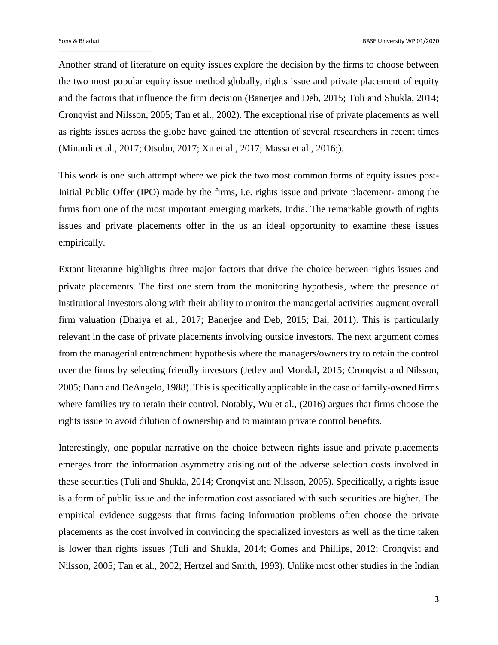Another strand of literature on equity issues explore the decision by the firms to choose between the two most popular equity issue method globally, rights issue and private placement of equity and the factors that influence the firm decision (Banerjee and Deb, 2015; Tuli and Shukla, 2014; Cronqvist and Nilsson, 2005; Tan et al., 2002). The exceptional rise of private placements as well as rights issues across the globe have gained the attention of several researchers in recent times (Minardi et al., 2017; Otsubo, 2017; Xu et al., 2017; Massa et al., 2016;).

This work is one such attempt where we pick the two most common forms of equity issues post-Initial Public Offer (IPO) made by the firms, i.e. rights issue and private placement- among the firms from one of the most important emerging markets, India. The remarkable growth of rights issues and private placements offer in the us an ideal opportunity to examine these issues empirically.

Extant literature highlights three major factors that drive the choice between rights issues and private placements. The first one stem from the monitoring hypothesis, where the presence of institutional investors along with their ability to monitor the managerial activities augment overall firm valuation (Dhaiya et al., 2017; Banerjee and Deb, 2015; Dai, 2011). This is particularly relevant in the case of private placements involving outside investors. The next argument comes from the managerial entrenchment hypothesis where the managers/owners try to retain the control over the firms by selecting friendly investors (Jetley and Mondal, 2015; Cronqvist and Nilsson, 2005; Dann and DeAngelo, 1988). This is specifically applicable in the case of family-owned firms where families try to retain their control. Notably, Wu et al., (2016) argues that firms choose the rights issue to avoid dilution of ownership and to maintain private control benefits.

Interestingly, one popular narrative on the choice between rights issue and private placements emerges from the information asymmetry arising out of the adverse selection costs involved in these securities (Tuli and Shukla, 2014; Cronqvist and Nilsson, 2005). Specifically, a rights issue is a form of public issue and the information cost associated with such securities are higher. The empirical evidence suggests that firms facing information problems often choose the private placements as the cost involved in convincing the specialized investors as well as the time taken is lower than rights issues (Tuli and Shukla, 2014; Gomes and Phillips, 2012; Cronqvist and Nilsson, 2005; Tan et al., 2002; Hertzel and Smith, 1993). Unlike most other studies in the Indian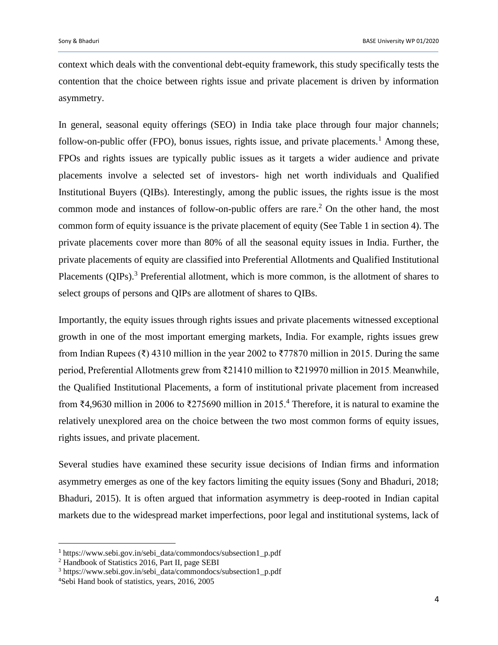context which deals with the conventional debt-equity framework, this study specifically tests the contention that the choice between rights issue and private placement is driven by information asymmetry.

In general, seasonal equity offerings (SEO) in India take place through four major channels; follow-on-public offer (FPO), bonus issues, rights issue, and private placements.<sup>1</sup> Among these, FPOs and rights issues are typically public issues as it targets a wider audience and private placements involve a selected set of investors- high net worth individuals and Qualified Institutional Buyers (QIBs). Interestingly, among the public issues, the rights issue is the most common mode and instances of follow-on-public offers are rare.<sup>2</sup> On the other hand, the most common form of equity issuance is the private placement of equity (See Table 1 in section 4). The private placements cover more than 80% of all the seasonal equity issues in India. Further, the private placements of equity are classified into Preferential Allotments and Qualified Institutional Placements (QIPs).<sup>3</sup> Preferential allotment, which is more common, is the allotment of shares to select groups of persons and QIPs are allotment of shares to QIBs.

Importantly, the equity issues through rights issues and private placements witnessed exceptional growth in one of the most important emerging markets, India. For example, rights issues grew from Indian Rupees ( $\bar{\tau}$ ) 4310 million in the year 2002 to  $\bar{\tau}$ 77870 million in 2015. During the same period, Preferential Allotments grew from ₹21410 million to ₹219970 million in 2015. Meanwhile, the Qualified Institutional Placements, a form of institutional private placement from increased from ₹4,9630 million in 2006 to ₹275690 million in 2015.<sup>4</sup> Therefore, it is natural to examine the relatively unexplored area on the choice between the two most common forms of equity issues, rights issues, and private placement.

Several studies have examined these security issue decisions of Indian firms and information asymmetry emerges as one of the key factors limiting the equity issues (Sony and Bhaduri, 2018; Bhaduri, 2015). It is often argued that information asymmetry is deep-rooted in Indian capital markets due to the widespread market imperfections, poor legal and institutional systems, lack of

 $\overline{\phantom{a}}$ 

<sup>1</sup> https://www.sebi.gov.in/sebi\_data/commondocs/subsection1\_p.pdf

<sup>2</sup> Handbook of Statistics 2016, Part II, page SEBI

<sup>&</sup>lt;sup>3</sup> https://www.sebi.gov.in/sebi\_data/commondocs/subsection1\_p.pdf

<sup>4</sup>Sebi Hand book of statistics, years, 2016, 2005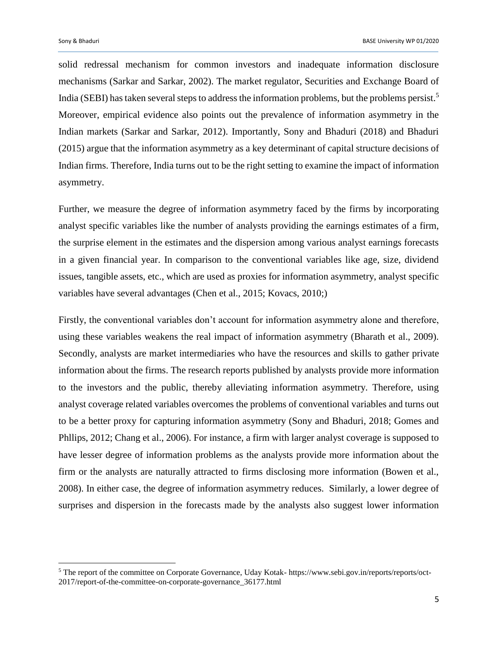$\overline{\phantom{a}}$ 

solid redressal mechanism for common investors and inadequate information disclosure mechanisms (Sarkar and Sarkar, 2002). The market regulator, Securities and Exchange Board of India (SEBI) has taken several steps to address the information problems, but the problems persist.<sup>5</sup> Moreover, empirical evidence also points out the prevalence of information asymmetry in the Indian markets (Sarkar and Sarkar, 2012). Importantly, Sony and Bhaduri (2018) and Bhaduri (2015) argue that the information asymmetry as a key determinant of capital structure decisions of Indian firms. Therefore, India turns out to be the right setting to examine the impact of information asymmetry.

Further, we measure the degree of information asymmetry faced by the firms by incorporating analyst specific variables like the number of analysts providing the earnings estimates of a firm, the surprise element in the estimates and the dispersion among various analyst earnings forecasts in a given financial year. In comparison to the conventional variables like age, size, dividend issues, tangible assets, etc., which are used as proxies for information asymmetry, analyst specific variables have several advantages (Chen et al., 2015; Kovacs, 2010;)

Firstly, the conventional variables don't account for information asymmetry alone and therefore, using these variables weakens the real impact of information asymmetry (Bharath et al., 2009). Secondly, analysts are market intermediaries who have the resources and skills to gather private information about the firms. The research reports published by analysts provide more information to the investors and the public, thereby alleviating information asymmetry. Therefore, using analyst coverage related variables overcomes the problems of conventional variables and turns out to be a better proxy for capturing information asymmetry (Sony and Bhaduri, 2018; Gomes and Phllips, 2012; Chang et al., 2006). For instance, a firm with larger analyst coverage is supposed to have lesser degree of information problems as the analysts provide more information about the firm or the analysts are naturally attracted to firms disclosing more information (Bowen et al., 2008). In either case, the degree of information asymmetry reduces. Similarly, a lower degree of surprises and dispersion in the forecasts made by the analysts also suggest lower information

<sup>5</sup> The report of the committee on Corporate Governance, Uday Kotak- https://www.sebi.gov.in/reports/reports/oct-2017/report-of-the-committee-on-corporate-governance\_36177.html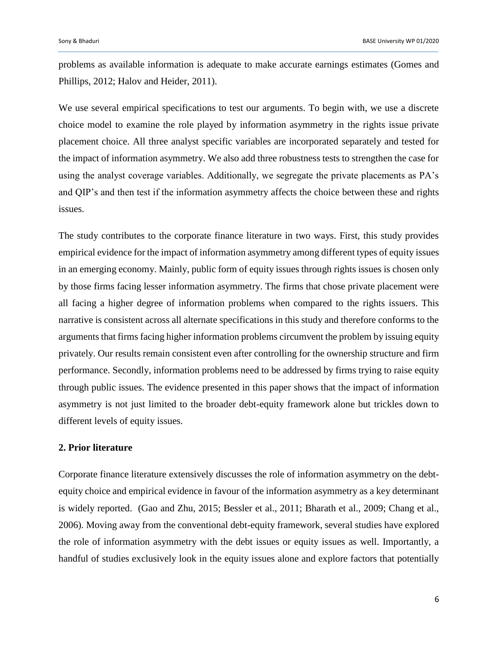problems as available information is adequate to make accurate earnings estimates (Gomes and Phillips, 2012; Halov and Heider, 2011).

We use several empirical specifications to test our arguments. To begin with, we use a discrete choice model to examine the role played by information asymmetry in the rights issue private placement choice. All three analyst specific variables are incorporated separately and tested for the impact of information asymmetry. We also add three robustness tests to strengthen the case for using the analyst coverage variables. Additionally, we segregate the private placements as PA's and QIP's and then test if the information asymmetry affects the choice between these and rights issues.

The study contributes to the corporate finance literature in two ways. First, this study provides empirical evidence for the impact of information asymmetry among different types of equity issues in an emerging economy. Mainly, public form of equity issues through rights issues is chosen only by those firms facing lesser information asymmetry. The firms that chose private placement were all facing a higher degree of information problems when compared to the rights issuers. This narrative is consistent across all alternate specifications in this study and therefore conforms to the arguments that firms facing higher information problems circumvent the problem by issuing equity privately. Our results remain consistent even after controlling for the ownership structure and firm performance. Secondly, information problems need to be addressed by firms trying to raise equity through public issues. The evidence presented in this paper shows that the impact of information asymmetry is not just limited to the broader debt-equity framework alone but trickles down to different levels of equity issues.

#### **2. Prior literature**

Corporate finance literature extensively discusses the role of information asymmetry on the debtequity choice and empirical evidence in favour of the information asymmetry as a key determinant is widely reported. (Gao and Zhu, 2015; Bessler et al., 2011; Bharath et al., 2009; Chang et al., 2006). Moving away from the conventional debt-equity framework, several studies have explored the role of information asymmetry with the debt issues or equity issues as well. Importantly, a handful of studies exclusively look in the equity issues alone and explore factors that potentially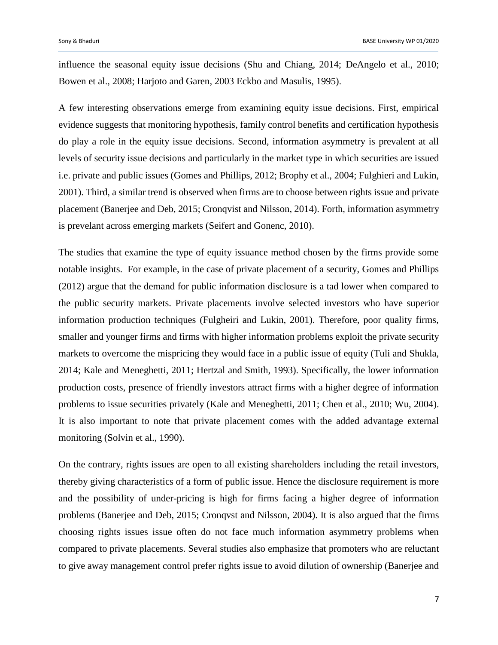influence the seasonal equity issue decisions (Shu and Chiang, 2014; DeAngelo et al., 2010; Bowen et al., 2008; Harjoto and Garen, 2003 Eckbo and Masulis, 1995).

A few interesting observations emerge from examining equity issue decisions. First, empirical evidence suggests that monitoring hypothesis, family control benefits and certification hypothesis do play a role in the equity issue decisions. Second, information asymmetry is prevalent at all levels of security issue decisions and particularly in the market type in which securities are issued i.e. private and public issues (Gomes and Phillips, 2012; Brophy et al., 2004; Fulghieri and Lukin, 2001). Third, a similar trend is observed when firms are to choose between rights issue and private placement (Banerjee and Deb, 2015; Cronqvist and Nilsson, 2014). Forth, information asymmetry is prevelant across emerging markets (Seifert and Gonenc, 2010).

The studies that examine the type of equity issuance method chosen by the firms provide some notable insights. For example, in the case of private placement of a security, Gomes and Phillips (2012) argue that the demand for public information disclosure is a tad lower when compared to the public security markets. Private placements involve selected investors who have superior information production techniques (Fulgheiri and Lukin, 2001). Therefore, poor quality firms, smaller and younger firms and firms with higher information problems exploit the private security markets to overcome the mispricing they would face in a public issue of equity (Tuli and Shukla, 2014; Kale and Meneghetti, 2011; Hertzal and Smith, 1993). Specifically, the lower information production costs, presence of friendly investors attract firms with a higher degree of information problems to issue securities privately (Kale and Meneghetti, 2011; Chen et al., 2010; Wu, 2004). It is also important to note that private placement comes with the added advantage external monitoring (Solvin et al., 1990).

On the contrary, rights issues are open to all existing shareholders including the retail investors, thereby giving characteristics of a form of public issue. Hence the disclosure requirement is more and the possibility of under-pricing is high for firms facing a higher degree of information problems (Banerjee and Deb, 2015; Cronqvst and Nilsson, 2004). It is also argued that the firms choosing rights issues issue often do not face much information asymmetry problems when compared to private placements. Several studies also emphasize that promoters who are reluctant to give away management control prefer rights issue to avoid dilution of ownership (Banerjee and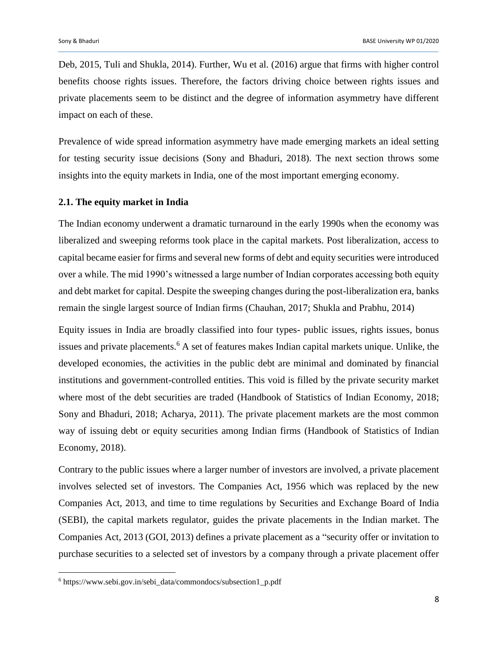Deb, 2015, Tuli and Shukla, 2014). Further, Wu et al. (2016) argue that firms with higher control benefits choose rights issues. Therefore, the factors driving choice between rights issues and private placements seem to be distinct and the degree of information asymmetry have different impact on each of these.

Prevalence of wide spread information asymmetry have made emerging markets an ideal setting for testing security issue decisions (Sony and Bhaduri, 2018). The next section throws some insights into the equity markets in India, one of the most important emerging economy.

#### **2.1. The equity market in India**

The Indian economy underwent a dramatic turnaround in the early 1990s when the economy was liberalized and sweeping reforms took place in the capital markets. Post liberalization, access to capital became easier for firms and several new forms of debt and equity securities were introduced over a while. The mid 1990's witnessed a large number of Indian corporates accessing both equity and debt market for capital. Despite the sweeping changes during the post-liberalization era, banks remain the single largest source of Indian firms (Chauhan, 2017; Shukla and Prabhu, 2014)

Equity issues in India are broadly classified into four types- public issues, rights issues, bonus issues and private placements.<sup>6</sup> A set of features makes Indian capital markets unique. Unlike, the developed economies, the activities in the public debt are minimal and dominated by financial institutions and government-controlled entities. This void is filled by the private security market where most of the debt securities are traded (Handbook of Statistics of Indian Economy, 2018; Sony and Bhaduri, 2018; Acharya, 2011). The private placement markets are the most common way of issuing debt or equity securities among Indian firms (Handbook of Statistics of Indian Economy, 2018).

Contrary to the public issues where a larger number of investors are involved, a private placement involves selected set of investors. The Companies Act, 1956 which was replaced by the new Companies Act, 2013, and time to time regulations by Securities and Exchange Board of India (SEBI), the capital markets regulator, guides the private placements in the Indian market. The Companies Act, 2013 (GOI, 2013) defines a private placement as a "security offer or invitation to purchase securities to a selected set of investors by a company through a private placement offer

 $\overline{\phantom{a}}$ 

<sup>6</sup> https://www.sebi.gov.in/sebi\_data/commondocs/subsection1\_p.pdf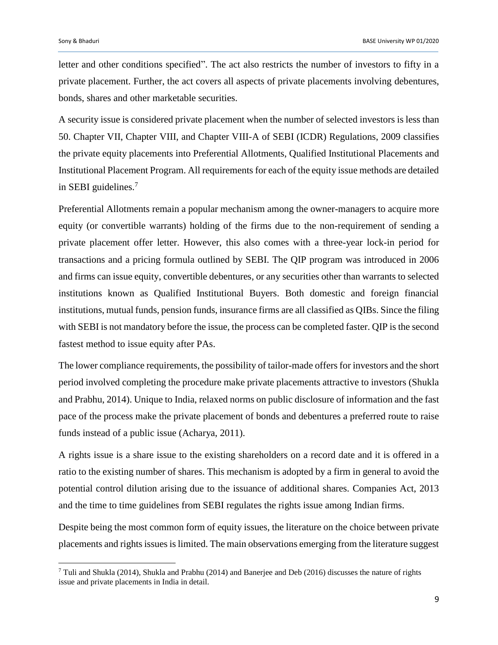$\overline{\phantom{a}}$ 

letter and other conditions specified". The act also restricts the number of investors to fifty in a private placement. Further, the act covers all aspects of private placements involving debentures, bonds, shares and other marketable securities.

A security issue is considered private placement when the number of selected investors is less than 50. Chapter VII, Chapter VIII, and Chapter VIII-A of SEBI (ICDR) Regulations, 2009 classifies the private equity placements into Preferential Allotments, Qualified Institutional Placements and Institutional Placement Program. All requirements for each of the equity issue methods are detailed in SEBI guidelines.<sup>7</sup>

Preferential Allotments remain a popular mechanism among the owner-managers to acquire more equity (or convertible warrants) holding of the firms due to the non-requirement of sending a private placement offer letter. However, this also comes with a three-year lock-in period for transactions and a pricing formula outlined by SEBI. The QIP program was introduced in 2006 and firms can issue equity, convertible debentures, or any securities other than warrants to selected institutions known as Qualified Institutional Buyers. Both domestic and foreign financial institutions, mutual funds, pension funds, insurance firms are all classified as QIBs. Since the filing with SEBI is not mandatory before the issue, the process can be completed faster. QIP is the second fastest method to issue equity after PAs.

The lower compliance requirements, the possibility of tailor-made offers for investors and the short period involved completing the procedure make private placements attractive to investors (Shukla and Prabhu, 2014). Unique to India, relaxed norms on public disclosure of information and the fast pace of the process make the private placement of bonds and debentures a preferred route to raise funds instead of a public issue (Acharya, 2011).

A rights issue is a share issue to the existing shareholders on a record date and it is offered in a ratio to the existing number of shares. This mechanism is adopted by a firm in general to avoid the potential control dilution arising due to the issuance of additional shares. Companies Act, 2013 and the time to time guidelines from SEBI regulates the rights issue among Indian firms.

Despite being the most common form of equity issues, the literature on the choice between private placements and rights issues is limited. The main observations emerging from the literature suggest

<sup>&</sup>lt;sup>7</sup> Tuli and Shukla (2014), Shukla and Prabhu (2014) and Banerjee and Deb (2016) discusses the nature of rights issue and private placements in India in detail.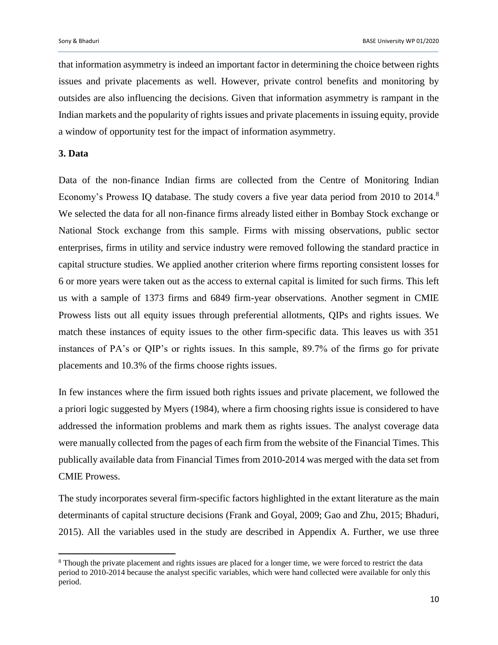that information asymmetry is indeed an important factor in determining the choice between rights issues and private placements as well. However, private control benefits and monitoring by outsides are also influencing the decisions. Given that information asymmetry is rampant in the Indian markets and the popularity of rights issues and private placements in issuing equity, provide a window of opportunity test for the impact of information asymmetry.

#### **3. Data**

 $\overline{\phantom{a}}$ 

Data of the non-finance Indian firms are collected from the Centre of Monitoring Indian Economy's Prowess IQ database. The study covers a five year data period from 2010 to 2014.<sup>8</sup> We selected the data for all non-finance firms already listed either in Bombay Stock exchange or National Stock exchange from this sample. Firms with missing observations, public sector enterprises, firms in utility and service industry were removed following the standard practice in capital structure studies. We applied another criterion where firms reporting consistent losses for 6 or more years were taken out as the access to external capital is limited for such firms. This left us with a sample of 1373 firms and 6849 firm-year observations. Another segment in CMIE Prowess lists out all equity issues through preferential allotments, QIPs and rights issues. We match these instances of equity issues to the other firm-specific data. This leaves us with 351 instances of PA's or QIP's or rights issues. In this sample, 89.7% of the firms go for private placements and 10.3% of the firms choose rights issues.

In few instances where the firm issued both rights issues and private placement, we followed the a priori logic suggested by Myers (1984), where a firm choosing rights issue is considered to have addressed the information problems and mark them as rights issues. The analyst coverage data were manually collected from the pages of each firm from the website of the Financial Times. This publically available data from Financial Times from 2010-2014 was merged with the data set from CMIE Prowess.

The study incorporates several firm-specific factors highlighted in the extant literature as the main determinants of capital structure decisions (Frank and Goyal, 2009; Gao and Zhu, 2015; Bhaduri, 2015). All the variables used in the study are described in Appendix A. Further, we use three

<sup>8</sup> Though the private placement and rights issues are placed for a longer time, we were forced to restrict the data period to 2010-2014 because the analyst specific variables, which were hand collected were available for only this period.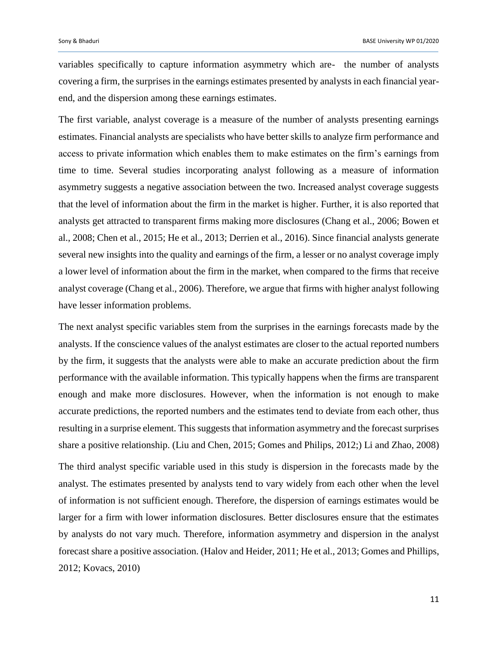variables specifically to capture information asymmetry which are- the number of analysts covering a firm, the surprises in the earnings estimates presented by analysts in each financial yearend, and the dispersion among these earnings estimates.

The first variable, analyst coverage is a measure of the number of analysts presenting earnings estimates. Financial analysts are specialists who have better skills to analyze firm performance and access to private information which enables them to make estimates on the firm's earnings from time to time. Several studies incorporating analyst following as a measure of information asymmetry suggests a negative association between the two. Increased analyst coverage suggests that the level of information about the firm in the market is higher. Further, it is also reported that analysts get attracted to transparent firms making more disclosures (Chang et al., 2006; Bowen et al., 2008; Chen et al., 2015; He et al., 2013; Derrien et al., 2016). Since financial analysts generate several new insights into the quality and earnings of the firm, a lesser or no analyst coverage imply a lower level of information about the firm in the market, when compared to the firms that receive analyst coverage (Chang et al., 2006). Therefore, we argue that firms with higher analyst following have lesser information problems.

The next analyst specific variables stem from the surprises in the earnings forecasts made by the analysts. If the conscience values of the analyst estimates are closer to the actual reported numbers by the firm, it suggests that the analysts were able to make an accurate prediction about the firm performance with the available information. This typically happens when the firms are transparent enough and make more disclosures. However, when the information is not enough to make accurate predictions, the reported numbers and the estimates tend to deviate from each other, thus resulting in a surprise element. This suggests that information asymmetry and the forecast surprises share a positive relationship. (Liu and Chen, 2015; Gomes and Philips, 2012;) Li and Zhao, 2008) The third analyst specific variable used in this study is dispersion in the forecasts made by the analyst. The estimates presented by analysts tend to vary widely from each other when the level of information is not sufficient enough. Therefore, the dispersion of earnings estimates would be larger for a firm with lower information disclosures. Better disclosures ensure that the estimates

by analysts do not vary much. Therefore, information asymmetry and dispersion in the analyst forecast share a positive association. (Halov and Heider, 2011; He et al., 2013; Gomes and Phillips, 2012; Kovacs, 2010)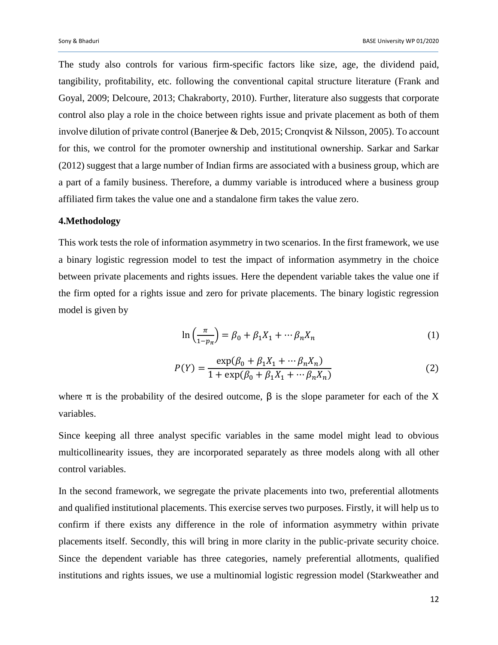The study also controls for various firm-specific factors like size, age, the dividend paid, tangibility, profitability, etc. following the conventional capital structure literature (Frank and Goyal, 2009; Delcoure, 2013; Chakraborty, 2010). Further, literature also suggests that corporate control also play a role in the choice between rights issue and private placement as both of them involve dilution of private control (Banerjee & Deb, 2015; Cronqvist & Nilsson, 2005). To account for this, we control for the promoter ownership and institutional ownership. Sarkar and Sarkar (2012) suggest that a large number of Indian firms are associated with a business group, which are a part of a family business. Therefore, a dummy variable is introduced where a business group affiliated firm takes the value one and a standalone firm takes the value zero.

#### **4.Methodology**

This work tests the role of information asymmetry in two scenarios. In the first framework, we use a binary logistic regression model to test the impact of information asymmetry in the choice between private placements and rights issues. Here the dependent variable takes the value one if the firm opted for a rights issue and zero for private placements. The binary logistic regression model is given by

$$
\ln\left(\frac{\pi}{1 - p_{\pi}}\right) = \beta_0 + \beta_1 X_1 + \cdots + \beta_n X_n \tag{1}
$$

$$
P(Y) = \frac{\exp(\beta_0 + \beta_1 X_1 + \cdots + \beta_n X_n)}{1 + \exp(\beta_0 + \beta_1 X_1 + \cdots + \beta_n X_n)}
$$
(2)

where  $\pi$  is the probability of the desired outcome,  $\beta$  is the slope parameter for each of the X variables.

Since keeping all three analyst specific variables in the same model might lead to obvious multicollinearity issues, they are incorporated separately as three models along with all other control variables.

In the second framework, we segregate the private placements into two, preferential allotments and qualified institutional placements. This exercise serves two purposes. Firstly, it will help us to confirm if there exists any difference in the role of information asymmetry within private placements itself. Secondly, this will bring in more clarity in the public-private security choice. Since the dependent variable has three categories, namely preferential allotments, qualified institutions and rights issues, we use a multinomial logistic regression model (Starkweather and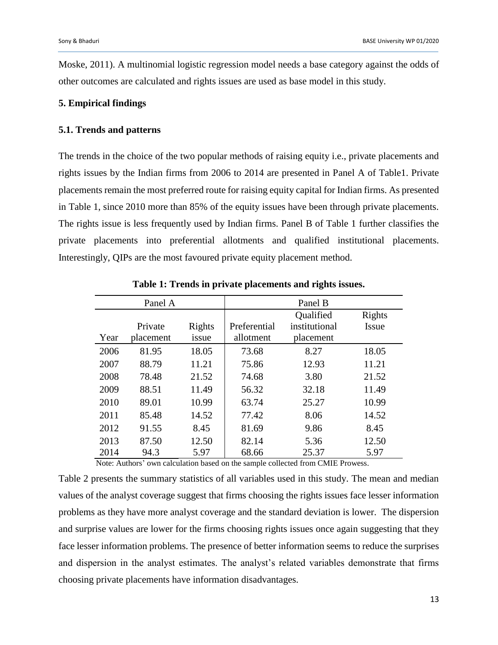Moske, 2011). A multinomial logistic regression model needs a base category against the odds of other outcomes are calculated and rights issues are used as base model in this study.

#### **5. Empirical findings**

#### **5.1. Trends and patterns**

The trends in the choice of the two popular methods of raising equity i.e., private placements and rights issues by the Indian firms from 2006 to 2014 are presented in Panel A of Table1. Private placements remain the most preferred route for raising equity capital for Indian firms. As presented in Table 1, since 2010 more than 85% of the equity issues have been through private placements. The rights issue is less frequently used by Indian firms. Panel B of Table 1 further classifies the private placements into preferential allotments and qualified institutional placements. Interestingly, QIPs are the most favoured private equity placement method.

|                                                     | Panel A   |                                  |              | Panel B                            |              |
|-----------------------------------------------------|-----------|----------------------------------|--------------|------------------------------------|--------------|
|                                                     |           |                                  |              | Qualified                          | Rights       |
|                                                     | Private   | Rights                           | Preferential | institutional                      | <b>Issue</b> |
| Year                                                | placement | issue                            | allotment    | placement                          |              |
| 2006                                                | 81.95     | 18.05                            | 73.68        | 8.27                               | 18.05        |
| 2007                                                | 88.79     | 11.21                            | 75.86        | 12.93                              | 11.21        |
| 2008                                                | 78.48     | 21.52                            | 74.68        | 3.80                               | 21.52        |
| 2009                                                | 88.51     | 11.49                            | 56.32        | 32.18                              | 11.49        |
| 2010                                                | 89.01     | 10.99                            | 63.74        | 25.27                              | 10.99        |
| 2011                                                | 85.48     | 14.52                            | 77.42        | 8.06                               | 14.52        |
| 2012                                                | 91.55     | 8.45                             | 81.69        | 9.86                               | 8.45         |
| 2013                                                | 87.50     | 12.50                            | 82.14        | 5.36                               | 12.50        |
| 2014                                                | 94.3      | 5.97                             | 68.66        | 25.37                              | 5.97         |
| $\mathbf{M}$ $\mathbf{M}$ $\mathbf{M}$ $\mathbf{M}$ |           | $1 \quad 1 \quad 1$<br>$\sim$ 1. | $\sim$ 1     | $11 \cdot 10$<br>$\alpha$ $\alpha$ |              |

**Table 1: Trends in private placements and rights issues.**

Note: Authors' own calculation based on the sample collected from CMIE Prowess.

Table 2 presents the summary statistics of all variables used in this study. The mean and median values of the analyst coverage suggest that firms choosing the rights issues face lesser information problems as they have more analyst coverage and the standard deviation is lower. The dispersion and surprise values are lower for the firms choosing rights issues once again suggesting that they face lesser information problems. The presence of better information seems to reduce the surprises and dispersion in the analyst estimates. The analyst's related variables demonstrate that firms choosing private placements have information disadvantages.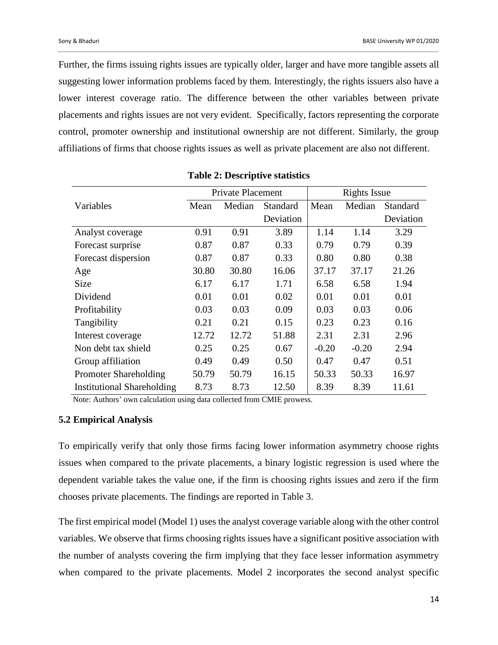Further, the firms issuing rights issues are typically older, larger and have more tangible assets all suggesting lower information problems faced by them. Interestingly, the rights issuers also have a lower interest coverage ratio. The difference between the other variables between private placements and rights issues are not very evident. Specifically, factors representing the corporate control, promoter ownership and institutional ownership are not different. Similarly, the group affiliations of firms that choose rights issues as well as private placement are also not different.

|                                   |       | <b>Private Placement</b> |           | Rights Issue |         |                 |
|-----------------------------------|-------|--------------------------|-----------|--------------|---------|-----------------|
| Variables                         | Mean  | Median                   | Standard  | Mean         | Median  | <b>Standard</b> |
|                                   |       |                          | Deviation |              |         | Deviation       |
| Analyst coverage                  | 0.91  | 0.91                     | 3.89      | 1.14         | 1.14    | 3.29            |
| Forecast surprise                 | 0.87  | 0.87                     | 0.33      | 0.79         | 0.79    | 0.39            |
| Forecast dispersion               | 0.87  | 0.87                     | 0.33      | 0.80         | 0.80    | 0.38            |
| Age                               | 30.80 | 30.80                    | 16.06     | 37.17        | 37.17   | 21.26           |
| <b>Size</b>                       | 6.17  | 6.17                     | 1.71      | 6.58         | 6.58    | 1.94            |
| Dividend                          | 0.01  | 0.01                     | 0.02      | 0.01         | 0.01    | 0.01            |
| Profitability                     | 0.03  | 0.03                     | 0.09      | 0.03         | 0.03    | 0.06            |
| Tangibility                       | 0.21  | 0.21                     | 0.15      | 0.23         | 0.23    | 0.16            |
| Interest coverage                 | 12.72 | 12.72                    | 51.88     | 2.31         | 2.31    | 2.96            |
| Non debt tax shield               | 0.25  | 0.25                     | 0.67      | $-0.20$      | $-0.20$ | 2.94            |
| Group affiliation                 | 0.49  | 0.49                     | 0.50      | 0.47         | 0.47    | 0.51            |
| <b>Promoter Shareholding</b>      | 50.79 | 50.79                    | 16.15     | 50.33        | 50.33   | 16.97           |
| <b>Institutional Shareholding</b> | 8.73  | 8.73                     | 12.50     | 8.39         | 8.39    | 11.61           |

#### **Table 2: Descriptive statistics**

Note: Authors' own calculation using data collected from CMIE prowess.

#### **5.2 Empirical Analysis**

To empirically verify that only those firms facing lower information asymmetry choose rights issues when compared to the private placements, a binary logistic regression is used where the dependent variable takes the value one, if the firm is choosing rights issues and zero if the firm chooses private placements. The findings are reported in Table 3.

The first empirical model (Model 1) uses the analyst coverage variable along with the other control variables. We observe that firms choosing rights issues have a significant positive association with the number of analysts covering the firm implying that they face lesser information asymmetry when compared to the private placements. Model 2 incorporates the second analyst specific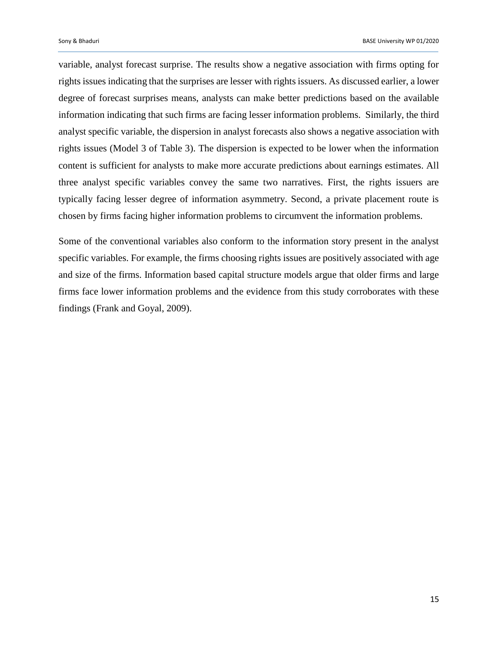variable, analyst forecast surprise. The results show a negative association with firms opting for rights issues indicating that the surprises are lesser with rights issuers. As discussed earlier, a lower degree of forecast surprises means, analysts can make better predictions based on the available information indicating that such firms are facing lesser information problems. Similarly, the third analyst specific variable, the dispersion in analyst forecasts also shows a negative association with rights issues (Model 3 of Table 3). The dispersion is expected to be lower when the information content is sufficient for analysts to make more accurate predictions about earnings estimates. All three analyst specific variables convey the same two narratives. First, the rights issuers are typically facing lesser degree of information asymmetry. Second, a private placement route is chosen by firms facing higher information problems to circumvent the information problems.

Some of the conventional variables also conform to the information story present in the analyst specific variables. For example, the firms choosing rights issues are positively associated with age and size of the firms. Information based capital structure models argue that older firms and large firms face lower information problems and the evidence from this study corroborates with these findings (Frank and Goyal, 2009).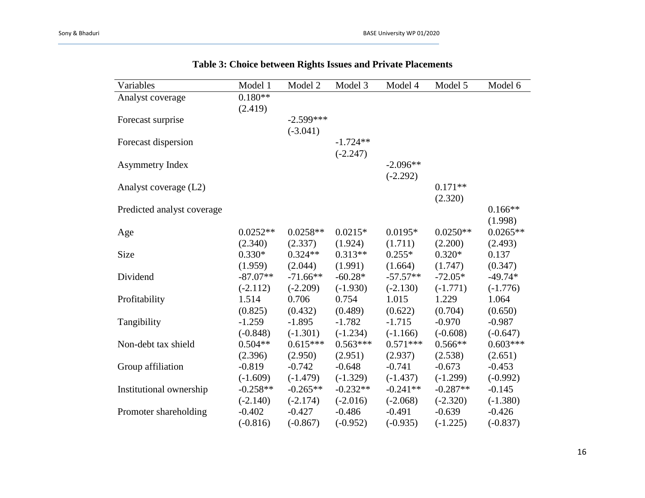| Variables                  | Model 1    | Model 2     | Model 3    | Model 4    | Model 5    | Model 6    |
|----------------------------|------------|-------------|------------|------------|------------|------------|
| Analyst coverage           | $0.180**$  |             |            |            |            |            |
|                            | (2.419)    |             |            |            |            |            |
| Forecast surprise          |            | $-2.599***$ |            |            |            |            |
|                            |            | $(-3.041)$  |            |            |            |            |
| Forecast dispersion        |            |             | $-1.724**$ |            |            |            |
|                            |            |             | $(-2.247)$ |            |            |            |
| <b>Asymmetry Index</b>     |            |             |            | $-2.096**$ |            |            |
|                            |            |             |            | $(-2.292)$ |            |            |
| Analyst coverage (L2)      |            |             |            |            | $0.171**$  |            |
|                            |            |             |            |            | (2.320)    |            |
| Predicted analyst coverage |            |             |            |            |            | $0.166**$  |
|                            |            |             |            |            |            | (1.998)    |
| Age                        | $0.0252**$ | $0.0258**$  | $0.0215*$  | $0.0195*$  | $0.0250**$ | $0.0265**$ |
|                            | (2.340)    | (2.337)     | (1.924)    | (1.711)    | (2.200)    | (2.493)    |
| Size                       | $0.330*$   | $0.324**$   | $0.313**$  | $0.255*$   | $0.320*$   | 0.137      |
|                            | (1.959)    | (2.044)     | (1.991)    | (1.664)    | (1.747)    | (0.347)    |
| Dividend                   | $-87.07**$ | $-71.66**$  | $-60.28*$  | $-57.57**$ | $-72.05*$  | $-49.74*$  |
|                            | $(-2.112)$ | $(-2.209)$  | $(-1.930)$ | $(-2.130)$ | $(-1.771)$ | $(-1.776)$ |
| Profitability              | 1.514      | 0.706       | 0.754      | 1.015      | 1.229      | 1.064      |
|                            | (0.825)    | (0.432)     | (0.489)    | (0.622)    | (0.704)    | (0.650)    |
| Tangibility                | $-1.259$   | $-1.895$    | $-1.782$   | $-1.715$   | $-0.970$   | $-0.987$   |
|                            | $(-0.848)$ | $(-1.301)$  | $(-1.234)$ | $(-1.166)$ | $(-0.608)$ | $(-0.647)$ |
| Non-debt tax shield        | $0.504**$  | $0.615***$  | $0.563***$ | $0.571***$ | $0.566**$  | $0.603***$ |
|                            | (2.396)    | (2.950)     | (2.951)    | (2.937)    | (2.538)    | (2.651)    |
| Group affiliation          | $-0.819$   | $-0.742$    | $-0.648$   | $-0.741$   | $-0.673$   | $-0.453$   |
|                            | $(-1.609)$ | $(-1.479)$  | $(-1.329)$ | $(-1.437)$ | $(-1.299)$ | $(-0.992)$ |
| Institutional ownership    | $-0.258**$ | $-0.265**$  | $-0.232**$ | $-0.241**$ | $-0.287**$ | $-0.145$   |
|                            | $(-2.140)$ | $(-2.174)$  | $(-2.016)$ | $(-2.068)$ | $(-2.320)$ | $(-1.380)$ |
| Promoter shareholding      | $-0.402$   | $-0.427$    | $-0.486$   | $-0.491$   | $-0.639$   | $-0.426$   |
|                            | $(-0.816)$ | $(-0.867)$  | $(-0.952)$ | $(-0.935)$ | $(-1.225)$ | $(-0.837)$ |

## **Table 3: Choice between Rights Issues and Private Placements**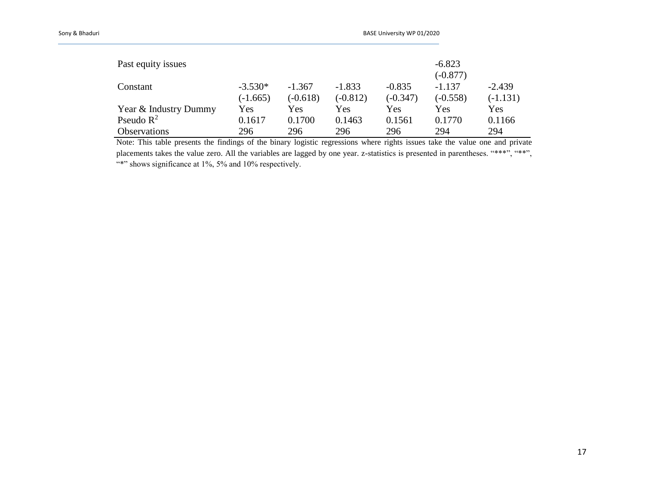| Past equity issues    |            |            |            |            | $-6.823$   |            |
|-----------------------|------------|------------|------------|------------|------------|------------|
|                       |            |            |            |            | $(-0.877)$ |            |
| Constant              | $-3.530*$  | $-1.367$   | $-1.833$   | $-0.835$   | $-1.137$   | $-2.439$   |
|                       | $(-1.665)$ | $(-0.618)$ | $(-0.812)$ | $(-0.347)$ | $(-0.558)$ | $(-1.131)$ |
| Year & Industry Dummy | Yes        | Yes        | Yes        | Yes        | Yes        | Yes        |
| Pseudo $R^2$          | 0.1617     | 0.1700     | 0.1463     | 0.1561     | 0.1770     | 0.1166     |
| <b>Observations</b>   | 296        | 296        | 296        | 296        | 294        | 294        |

Note: This table presents the findings of the binary logistic regressions where rights issues take the value one and private placements takes the value zero. All the variables are lagged by one year. z-statistics is presented in parentheses. "\*\*\*", "\*\*", "\*" shows significance at 1%, 5% and 10% respectively.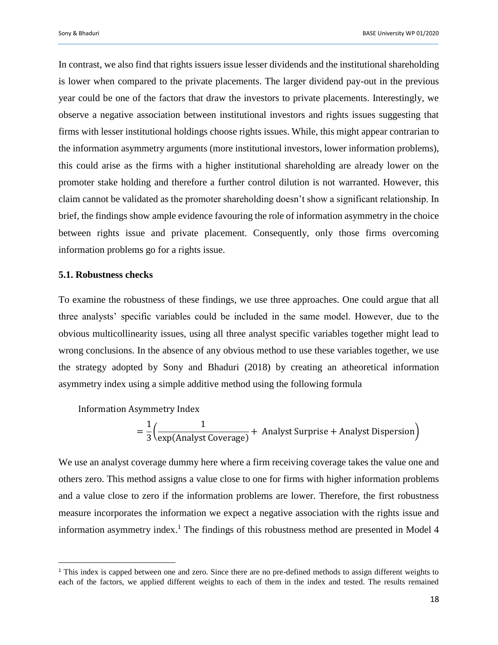In contrast, we also find that rights issuers issue lesser dividends and the institutional shareholding is lower when compared to the private placements. The larger dividend pay-out in the previous year could be one of the factors that draw the investors to private placements. Interestingly, we observe a negative association between institutional investors and rights issues suggesting that firms with lesser institutional holdings choose rights issues. While, this might appear contrarian to the information asymmetry arguments (more institutional investors, lower information problems), this could arise as the firms with a higher institutional shareholding are already lower on the promoter stake holding and therefore a further control dilution is not warranted. However, this claim cannot be validated as the promoter shareholding doesn't show a significant relationship. In brief, the findings show ample evidence favouring the role of information asymmetry in the choice between rights issue and private placement. Consequently, only those firms overcoming information problems go for a rights issue.

#### **5.1. Robustness checks**

l

To examine the robustness of these findings, we use three approaches. One could argue that all three analysts' specific variables could be included in the same model. However, due to the obvious multicollinearity issues, using all three analyst specific variables together might lead to wrong conclusions. In the absence of any obvious method to use these variables together, we use the strategy adopted by Sony and Bhaduri (2018) by creating an atheoretical information asymmetry index using a simple additive method using the following formula

Information Asymmetry Index

$$
= \frac{1}{3} \left( \frac{1}{\exp(\text{Analyst Coverage})} + \text{Analyst Surprise} + \text{Analyst Disperson} \right)
$$

We use an analyst coverage dummy here where a firm receiving coverage takes the value one and others zero. This method assigns a value close to one for firms with higher information problems and a value close to zero if the information problems are lower. Therefore, the first robustness measure incorporates the information we expect a negative association with the rights issue and information asymmetry index.<sup>1</sup> The findings of this robustness method are presented in Model 4

<sup>&</sup>lt;sup>1</sup> This index is capped between one and zero. Since there are no pre-defined methods to assign different weights to each of the factors, we applied different weights to each of them in the index and tested. The results remained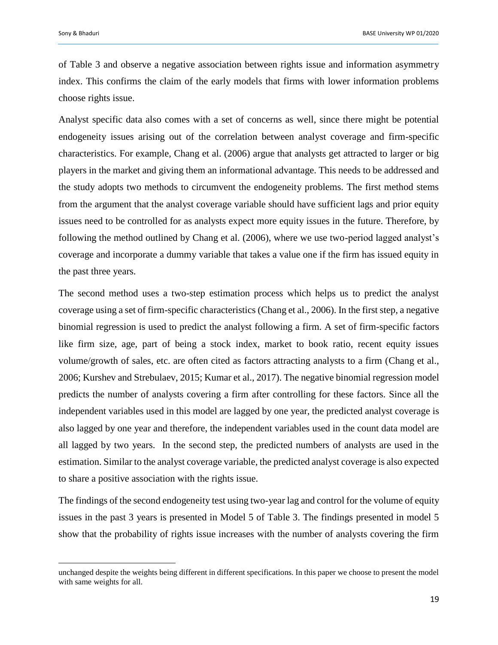$\overline{\phantom{a}}$ 

of Table 3 and observe a negative association between rights issue and information asymmetry index. This confirms the claim of the early models that firms with lower information problems choose rights issue.

Analyst specific data also comes with a set of concerns as well, since there might be potential endogeneity issues arising out of the correlation between analyst coverage and firm-specific characteristics. For example, Chang et al. (2006) argue that analysts get attracted to larger or big players in the market and giving them an informational advantage. This needs to be addressed and the study adopts two methods to circumvent the endogeneity problems. The first method stems from the argument that the analyst coverage variable should have sufficient lags and prior equity issues need to be controlled for as analysts expect more equity issues in the future. Therefore, by following the method outlined by Chang et al. (2006), where we use two-period lagged analyst's coverage and incorporate a dummy variable that takes a value one if the firm has issued equity in the past three years.

The second method uses a two-step estimation process which helps us to predict the analyst coverage using a set of firm-specific characteristics (Chang et al., 2006). In the first step, a negative binomial regression is used to predict the analyst following a firm. A set of firm-specific factors like firm size, age, part of being a stock index, market to book ratio, recent equity issues volume/growth of sales, etc. are often cited as factors attracting analysts to a firm (Chang et al., 2006; Kurshev and Strebulaev, 2015; Kumar et al., 2017). The negative binomial regression model predicts the number of analysts covering a firm after controlling for these factors. Since all the independent variables used in this model are lagged by one year, the predicted analyst coverage is also lagged by one year and therefore, the independent variables used in the count data model are all lagged by two years. In the second step, the predicted numbers of analysts are used in the estimation. Similar to the analyst coverage variable, the predicted analyst coverage is also expected to share a positive association with the rights issue.

The findings of the second endogeneity test using two-year lag and control for the volume of equity issues in the past 3 years is presented in Model 5 of Table 3. The findings presented in model 5 show that the probability of rights issue increases with the number of analysts covering the firm

unchanged despite the weights being different in different specifications. In this paper we choose to present the model with same weights for all.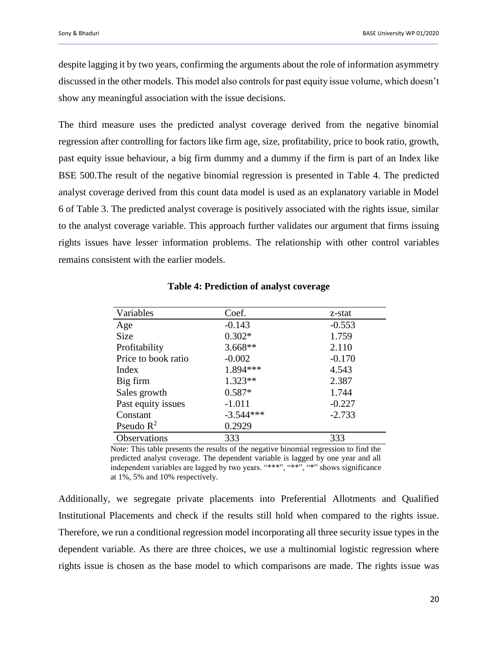despite lagging it by two years, confirming the arguments about the role of information asymmetry discussed in the other models. This model also controls for past equity issue volume, which doesn't show any meaningful association with the issue decisions.

The third measure uses the predicted analyst coverage derived from the negative binomial regression after controlling for factors like firm age, size, profitability, price to book ratio, growth, past equity issue behaviour, a big firm dummy and a dummy if the firm is part of an Index like BSE 500.The result of the negative binomial regression is presented in Table 4. The predicted analyst coverage derived from this count data model is used as an explanatory variable in Model 6 of Table 3. The predicted analyst coverage is positively associated with the rights issue, similar to the analyst coverage variable. This approach further validates our argument that firms issuing rights issues have lesser information problems. The relationship with other control variables remains consistent with the earlier models.

| Variables           | Coef.       | z-stat   |
|---------------------|-------------|----------|
| Age                 | $-0.143$    | $-0.553$ |
| Size                | $0.302*$    | 1.759    |
| Profitability       | $3.668**$   | 2.110    |
| Price to book ratio | $-0.002$    | $-0.170$ |
| Index               | 1.894 ***   | 4.543    |
| Big firm            | $1.323**$   | 2.387    |
| Sales growth        | $0.587*$    | 1.744    |
| Past equity issues  | $-1.011$    | $-0.227$ |
| Constant            | $-3.544***$ | $-2.733$ |
| Pseudo $R^2$        | 0.2929      |          |
| Observations        | 333         | 333      |

**Table 4: Prediction of analyst coverage**

Note: This table presents the results of the negative binomial regression to find the predicted analyst coverage. The dependent variable is lagged by one year and all independent variables are lagged by two years. "\*\*\*", "\*\*", "\*" shows significance at 1%, 5% and 10% respectively.

Additionally, we segregate private placements into Preferential Allotments and Qualified Institutional Placements and check if the results still hold when compared to the rights issue. Therefore, we run a conditional regression model incorporating all three security issue types in the dependent variable. As there are three choices, we use a multinomial logistic regression where rights issue is chosen as the base model to which comparisons are made. The rights issue was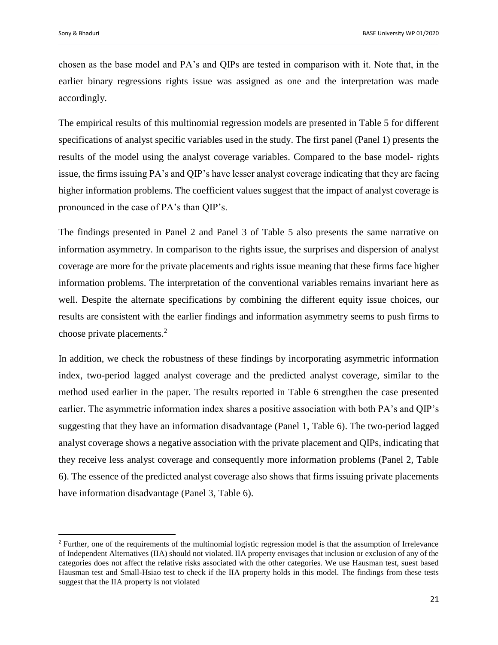$\overline{a}$ 

chosen as the base model and PA's and QIPs are tested in comparison with it. Note that, in the earlier binary regressions rights issue was assigned as one and the interpretation was made accordingly.

The empirical results of this multinomial regression models are presented in Table 5 for different specifications of analyst specific variables used in the study. The first panel (Panel 1) presents the results of the model using the analyst coverage variables. Compared to the base model- rights issue, the firms issuing PA's and QIP's have lesser analyst coverage indicating that they are facing higher information problems. The coefficient values suggest that the impact of analyst coverage is pronounced in the case of PA's than QIP's.

The findings presented in Panel 2 and Panel 3 of Table 5 also presents the same narrative on information asymmetry. In comparison to the rights issue, the surprises and dispersion of analyst coverage are more for the private placements and rights issue meaning that these firms face higher information problems. The interpretation of the conventional variables remains invariant here as well. Despite the alternate specifications by combining the different equity issue choices, our results are consistent with the earlier findings and information asymmetry seems to push firms to choose private placements.<sup>2</sup>

In addition, we check the robustness of these findings by incorporating asymmetric information index, two-period lagged analyst coverage and the predicted analyst coverage, similar to the method used earlier in the paper. The results reported in Table 6 strengthen the case presented earlier. The asymmetric information index shares a positive association with both PA's and QIP's suggesting that they have an information disadvantage (Panel 1, Table 6). The two-period lagged analyst coverage shows a negative association with the private placement and QIPs, indicating that they receive less analyst coverage and consequently more information problems (Panel 2, Table 6). The essence of the predicted analyst coverage also shows that firms issuing private placements have information disadvantage (Panel 3, Table 6).

<sup>2</sup> Further, one of the requirements of the multinomial logistic regression model is that the assumption of Irrelevance of Independent Alternatives (IIA) should not violated. IIA property envisages that inclusion or exclusion of any of the categories does not affect the relative risks associated with the other categories. We use Hausman test, suest based Hausman test and Small-Hsiao test to check if the IIA property holds in this model. The findings from these tests suggest that the IIA property is not violated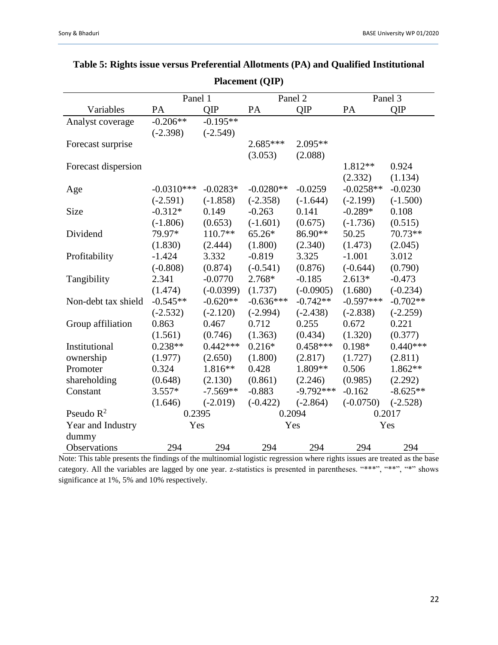|                     | Panel 1      |             |             | Panel 2     | Panel 3     |            |
|---------------------|--------------|-------------|-------------|-------------|-------------|------------|
| Variables           | PA           | QIP         | PA          | QIP         | PA          | QIP        |
| Analyst coverage    | $-0.206**$   | $-0.195**$  |             |             |             |            |
|                     | $(-2.398)$   | $(-2.549)$  |             |             |             |            |
| Forecast surprise   |              |             | $2.685***$  | $2.095**$   |             |            |
|                     |              |             | (3.053)     | (2.088)     |             |            |
| Forecast dispersion |              |             |             |             | 1.812**     | 0.924      |
|                     |              |             |             |             | (2.332)     | (1.134)    |
| Age                 | $-0.0310***$ | $-0.0283*$  | $-0.0280**$ | $-0.0259$   | $-0.0258**$ | $-0.0230$  |
|                     | $(-2.591)$   | $(-1.858)$  | $(-2.358)$  | $(-1.644)$  | $(-2.199)$  | $(-1.500)$ |
| Size                | $-0.312*$    | 0.149       | $-0.263$    | 0.141       | $-0.289*$   | 0.108      |
|                     | $(-1.806)$   | (0.653)     | $(-1.601)$  | (0.675)     | $(-1.736)$  | (0.515)    |
| Dividend            | 79.97*       | 110.7**     | 65.26*      | 86.90**     | 50.25       | 70.73**    |
|                     | (1.830)      | (2.444)     | (1.800)     | (2.340)     | (1.473)     | (2.045)    |
| Profitability       | $-1.424$     | 3.332       | $-0.819$    | 3.325       | $-1.001$    | 3.012      |
|                     | $(-0.808)$   | (0.874)     | $(-0.541)$  | (0.876)     | $(-0.644)$  | (0.790)    |
| Tangibility         | 2.341        | $-0.0770$   | 2.768*      | $-0.185$    | $2.613*$    | $-0.473$   |
|                     | (1.474)      | $(-0.0399)$ | (1.737)     | $(-0.0905)$ | (1.680)     | $(-0.234)$ |
| Non-debt tax shield | $-0.545**$   | $-0.620**$  | $-0.636***$ | $-0.742**$  | $-0.597***$ | $-0.702**$ |
|                     | $(-2.532)$   | $(-2.120)$  | $(-2.994)$  | $(-2.438)$  | $(-2.838)$  | $(-2.259)$ |
| Group affiliation   | 0.863        | 0.467       | 0.712       | 0.255       | 0.672       | 0.221      |
|                     | (1.561)      | (0.746)     | (1.363)     | (0.434)     | (1.320)     | (0.377)    |
| Institutional       | $0.238**$    | $0.442***$  | $0.216*$    | $0.458***$  | 0.198*      | $0.440***$ |
| ownership           | (1.977)      | (2.650)     | (1.800)     | (2.817)     | (1.727)     | (2.811)    |
| Promoter            | 0.324        | $1.816**$   | 0.428       | 1.809**     | 0.506       | 1.862**    |
| shareholding        | (0.648)      | (2.130)     | (0.861)     | (2.246)     | (0.985)     | (2.292)    |
| Constant            | $3.557*$     | $-7.569**$  | $-0.883$    | $-9.792***$ | $-0.162$    | $-8.625**$ |
|                     | (1.646)      | $(-2.019)$  | $(-0.422)$  | $(-2.864)$  | $(-0.0750)$ | $(-2.528)$ |
| Pseudo $R^2$        | 0.2395       |             |             | 0.2094      |             | 0.2017     |
| Year and Industry   | Yes          |             |             | Yes         |             | Yes        |
| dummy               |              |             |             |             |             |            |
| Observations        | 294          | 294         | 294         | 294         | 294         | 294        |

## **Table 5: Rights issue versus Preferential Allotments (PA) and Qualified Institutional**

**Placement (QIP)** 

Note: This table presents the findings of the multinomial logistic regression where rights issues are treated as the base category. All the variables are lagged by one year. z-statistics is presented in parentheses. "\*\*\*", "\*\*", "\*" shows significance at 1%, 5% and 10% respectively.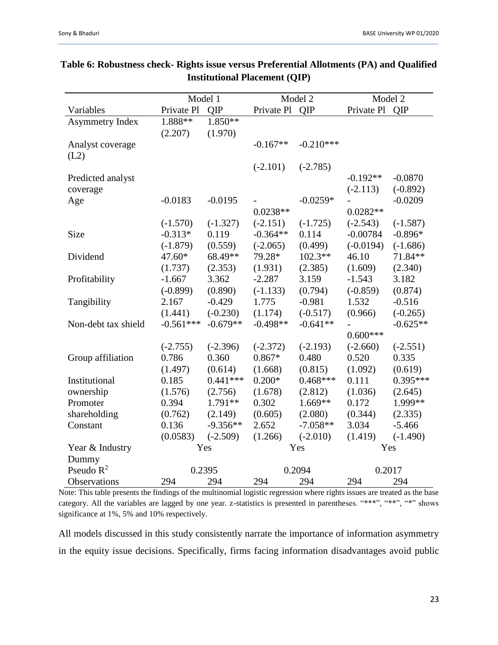|                        | Model 1     |            | Model 2    |             | Model 2     |            |
|------------------------|-------------|------------|------------|-------------|-------------|------------|
| Variables              | Private Pl  | QIP        | Private Pl | <b>OIP</b>  | Private Pl  | <b>OIP</b> |
| <b>Asymmetry Index</b> | 1.888**     | $1.850**$  |            |             |             |            |
|                        | (2.207)     | (1.970)    |            |             |             |            |
| Analyst coverage       |             |            | $-0.167**$ | $-0.210***$ |             |            |
| (L2)                   |             |            |            |             |             |            |
|                        |             |            | $(-2.101)$ | $(-2.785)$  |             |            |
| Predicted analyst      |             |            |            |             | $-0.192**$  | $-0.0870$  |
| coverage               |             |            |            |             | $(-2.113)$  | $(-0.892)$ |
| Age                    | $-0.0183$   | $-0.0195$  |            | $-0.0259*$  |             | $-0.0209$  |
|                        |             |            | $0.0238**$ |             | $0.0282**$  |            |
|                        | $(-1.570)$  | $(-1.327)$ | $(-2.151)$ | $(-1.725)$  | $(-2.543)$  | $(-1.587)$ |
| Size                   | $-0.313*$   | 0.119      | $-0.364**$ | 0.114       | $-0.00784$  | $-0.896*$  |
|                        | $(-1.879)$  | (0.559)    | $(-2.065)$ | (0.499)     | $(-0.0194)$ | $(-1.686)$ |
| Dividend               | 47.60*      | 68.49**    | 79.28*     | $102.3**$   | 46.10       | 71.84**    |
|                        | (1.737)     | (2.353)    | (1.931)    | (2.385)     | (1.609)     | (2.340)    |
| Profitability          | $-1.667$    | 3.362      | $-2.287$   | 3.159       | $-1.543$    | 3.182      |
|                        | $(-0.899)$  | (0.890)    | $(-1.133)$ | (0.794)     | $(-0.859)$  | (0.874)    |
| Tangibility            | 2.167       | $-0.429$   | 1.775      | $-0.981$    | 1.532       | $-0.516$   |
|                        | (1.441)     | $(-0.230)$ | (1.174)    | $(-0.517)$  | (0.966)     | $(-0.265)$ |
| Non-debt tax shield    | $-0.561***$ | $-0.679**$ | $-0.498**$ | $-0.641**$  |             | $-0.625**$ |
|                        |             |            |            |             | $0.600***$  |            |
|                        | $(-2.755)$  | $(-2.396)$ | $(-2.372)$ | $(-2.193)$  | $(-2.660)$  | $(-2.551)$ |
| Group affiliation      | 0.786       | 0.360      | $0.867*$   | 0.480       | 0.520       | 0.335      |
|                        | (1.497)     | (0.614)    | (1.668)    | (0.815)     | (1.092)     | (0.619)    |
| Institutional          | 0.185       | $0.441***$ | $0.200*$   | $0.468***$  | 0.111       | $0.395***$ |
| ownership              | (1.576)     | (2.756)    | (1.678)    | (2.812)     | (1.036)     | (2.645)    |
| Promoter               | 0.394       | $1.791**$  | 0.302      | $1.669**$   | 0.172       | 1.999**    |
| shareholding           | (0.762)     | (2.149)    | (0.605)    | (2.080)     | (0.344)     | (2.335)    |
| Constant               | 0.136       | $-9.356**$ | 2.652      | $-7.058**$  | 3.034       | $-5.466$   |
|                        | (0.0583)    | $(-2.509)$ | (1.266)    | $(-2.010)$  | (1.419)     | $(-1.490)$ |
| Year & Industry        |             | Yes        |            | Yes         | Yes         |            |
| Dummy                  |             |            |            |             |             |            |
| Pseudo $R^2$           |             | 0.2395     |            | 0.2094      | 0.2017      |            |
| Observations           | 294         | 294        | 294        | 294         | 294         | 294        |

### **Table 6: Robustness check- Rights issue versus Preferential Allotments (PA) and Qualified Institutional Placement (QIP)**

Note: This table presents the findings of the multinomial logistic regression where rights issues are treated as the base category. All the variables are lagged by one year. z-statistics is presented in parentheses. "\*\*\*", "\*\*", "\*" shows significance at 1%, 5% and 10% respectively.

All models discussed in this study consistently narrate the importance of information asymmetry in the equity issue decisions. Specifically, firms facing information disadvantages avoid public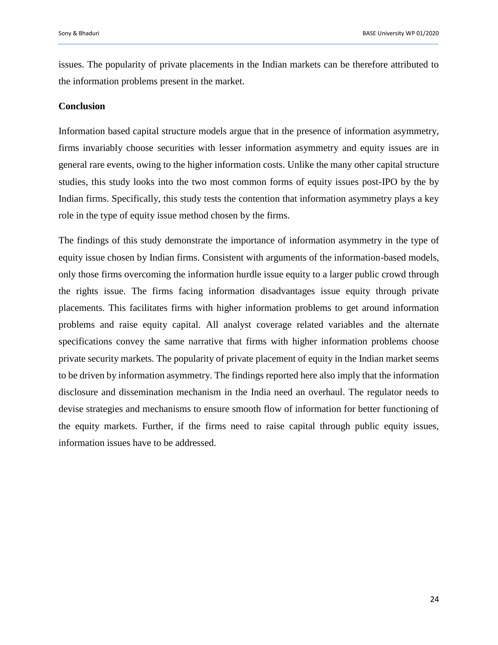issues. The popularity of private placements in the Indian markets can be therefore attributed to the information problems present in the market.

#### **Conclusion**

Information based capital structure models argue that in the presence of information asymmetry, firms invariably choose securities with lesser information asymmetry and equity issues are in general rare events, owing to the higher information costs. Unlike the many other capital structure studies, this study looks into the two most common forms of equity issues post-IPO by the by Indian firms. Specifically, this study tests the contention that information asymmetry plays a key role in the type of equity issue method chosen by the firms.

The findings of this study demonstrate the importance of information asymmetry in the type of equity issue chosen by Indian firms. Consistent with arguments of the information-based models, only those firms overcoming the information hurdle issue equity to a larger public crowd through the rights issue. The firms facing information disadvantages issue equity through private placements. This facilitates firms with higher information problems to get around information problems and raise equity capital. All analyst coverage related variables and the alternate specifications convey the same narrative that firms with higher information problems choose private security markets. The popularity of private placement of equity in the Indian market seems to be driven by information asymmetry. The findings reported here also imply that the information disclosure and dissemination mechanism in the India need an overhaul. The regulator needs to devise strategies and mechanisms to ensure smooth flow of information for better functioning of the equity markets. Further, if the firms need to raise capital through public equity issues, information issues have to be addressed.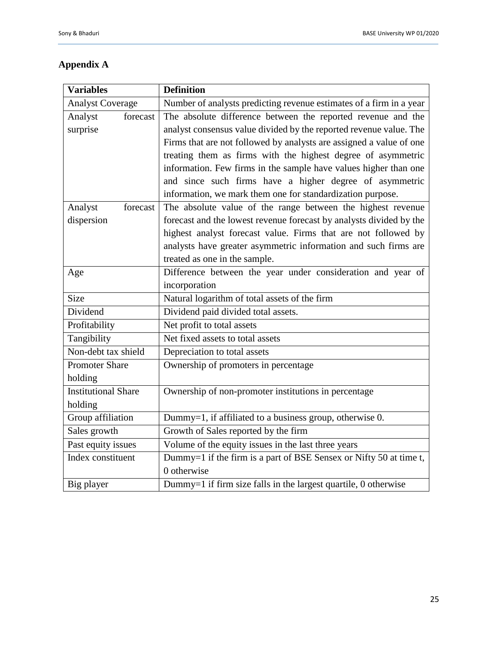## **Appendix A**

| <b>Variables</b>           | <b>Definition</b>                                                   |
|----------------------------|---------------------------------------------------------------------|
| <b>Analyst Coverage</b>    | Number of analysts predicting revenue estimates of a firm in a year |
| Analyst<br>forecast        | The absolute difference between the reported revenue and the        |
| surprise                   | analyst consensus value divided by the reported revenue value. The  |
|                            | Firms that are not followed by analysts are assigned a value of one |
|                            | treating them as firms with the highest degree of asymmetric        |
|                            | information. Few firms in the sample have values higher than one    |
|                            | and since such firms have a higher degree of asymmetric             |
|                            | information, we mark them one for standardization purpose.          |
| forecast<br>Analyst        | The absolute value of the range between the highest revenue         |
| dispersion                 | forecast and the lowest revenue forecast by analysts divided by the |
|                            | highest analyst forecast value. Firms that are not followed by      |
|                            | analysts have greater asymmetric information and such firms are     |
|                            | treated as one in the sample.                                       |
| Age                        | Difference between the year under consideration and year of         |
|                            | incorporation                                                       |
| Size                       | Natural logarithm of total assets of the firm                       |
| Dividend                   | Dividend paid divided total assets.                                 |
| Profitability              | Net profit to total assets                                          |
| Tangibility                | Net fixed assets to total assets                                    |
| Non-debt tax shield        | Depreciation to total assets                                        |
| <b>Promoter Share</b>      | Ownership of promoters in percentage                                |
| holding                    |                                                                     |
| <b>Institutional Share</b> | Ownership of non-promoter institutions in percentage                |
| holding                    |                                                                     |
| Group affiliation          | Dummy=1, if affiliated to a business group, otherwise 0.            |
| Sales growth               | Growth of Sales reported by the firm                                |
| Past equity issues         | Volume of the equity issues in the last three years                 |
| Index constituent          | Dummy=1 if the firm is a part of BSE Sensex or Nifty 50 at time t,  |
|                            | 0 otherwise                                                         |
| Big player                 | Dummy=1 if firm size falls in the largest quartile, 0 otherwise     |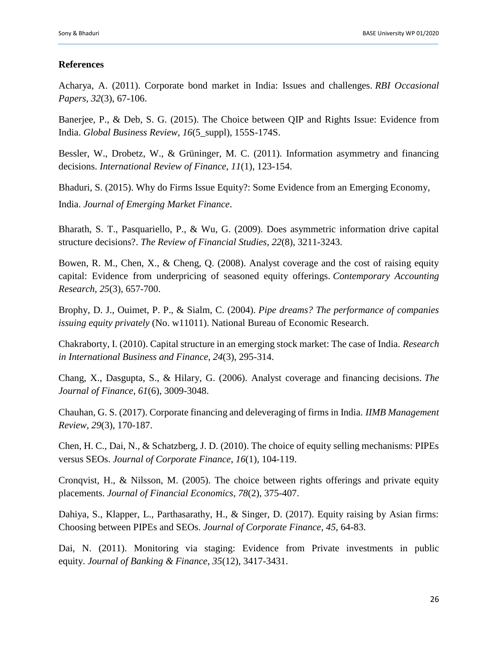#### **References**

Acharya, A. (2011). Corporate bond market in India: Issues and challenges. *RBI Occasional Papers*, *32*(3), 67-106.

Banerjee, P., & Deb, S. G. (2015). The Choice between QIP and Rights Issue: Evidence from India. *Global Business Review*, *16*(5\_suppl), 155S-174S.

Bessler, W., Drobetz, W., & Grüninger, M. C. (2011). Information asymmetry and financing decisions. *International Review of Finance*, *11*(1), 123-154.

Bhaduri, S. (2015). Why do Firms Issue Equity?: Some Evidence from an Emerging Economy, India. *Journal of Emerging Market Finance*.

Bharath, S. T., Pasquariello, P., & Wu, G. (2009). Does asymmetric information drive capital structure decisions?. *The Review of Financial Studies*, *22*(8), 3211-3243.

Bowen, R. M., Chen, X., & Cheng, Q. (2008). Analyst coverage and the cost of raising equity capital: Evidence from underpricing of seasoned equity offerings. *Contemporary Accounting Research*, *25*(3), 657-700.

Brophy, D. J., Ouimet, P. P., & Sialm, C. (2004). *Pipe dreams? The performance of companies issuing equity privately* (No. w11011). National Bureau of Economic Research.

Chakraborty, I. (2010). Capital structure in an emerging stock market: The case of India. *Research in International Business and Finance*, *24*(3), 295-314.

Chang, X., Dasgupta, S., & Hilary, G. (2006). Analyst coverage and financing decisions. *The Journal of Finance*, *61*(6), 3009-3048.

Chauhan, G. S. (2017). Corporate financing and deleveraging of firms in India. *IIMB Management Review*, *29*(3), 170-187.

Chen, H. C., Dai, N., & Schatzberg, J. D. (2010). The choice of equity selling mechanisms: PIPEs versus SEOs. *Journal of Corporate Finance*, *16*(1), 104-119.

Cronqvist, H., & Nilsson, M. (2005). The choice between rights offerings and private equity placements. *Journal of Financial Economics*, *78*(2), 375-407.

Dahiya, S., Klapper, L., Parthasarathy, H., & Singer, D. (2017). Equity raising by Asian firms: Choosing between PIPEs and SEOs. *Journal of Corporate Finance*, *45*, 64-83.

Dai, N. (2011). Monitoring via staging: Evidence from Private investments in public equity. *Journal of Banking & Finance*, *35*(12), 3417-3431.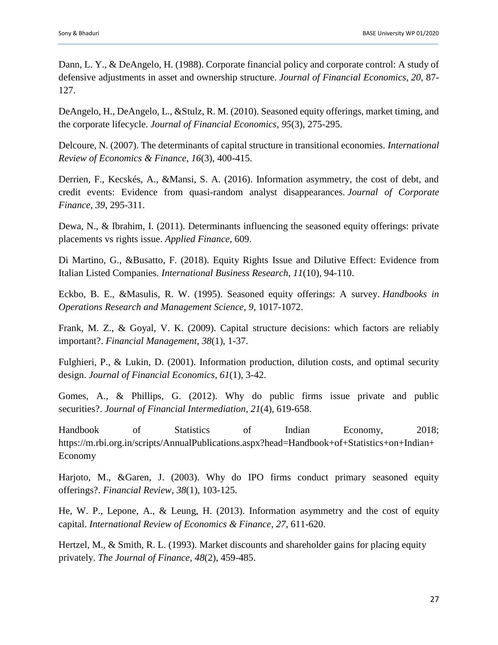Dann, L. Y., & DeAngelo, H. (1988). Corporate financial policy and corporate control: A study of defensive adjustments in asset and ownership structure. *Journal of Financial Economics*, *20*, 87- 127.

DeAngelo, H., DeAngelo, L., &Stulz, R. M. (2010). Seasoned equity offerings, market timing, and the corporate lifecycle. *Journal of Financial Economics*, *95*(3), 275-295.

Delcoure, N. (2007). The determinants of capital structure in transitional economies. *International Review of Economics & Finance*, *16*(3), 400-415.

Derrien, F., Kecskés, A., &Mansi, S. A. (2016). Information asymmetry, the cost of debt, and credit events: Evidence from quasi-random analyst disappearances. *Journal of Corporate Finance*, *39*, 295-311.

Dewa, N., & Ibrahim, I. (2011). Determinants influencing the seasoned equity offerings: private placements vs rights issue. *Applied Finance*, 609.

Di Martino, G., &Busatto, F. (2018). Equity Rights Issue and Dilutive Effect: Evidence from Italian Listed Companies. *International Business Research*, *11*(10), 94-110.

Eckbo, B. E., &Masulis, R. W. (1995). Seasoned equity offerings: A survey. *Handbooks in Operations Research and Management Science*, *9*, 1017-1072.

Frank, M. Z., & Goyal, V. K. (2009). Capital structure decisions: which factors are reliably important?. *Financial Management*, *38*(1), 1-37.

Fulghieri, P., & Lukin, D. (2001). Information production, dilution costs, and optimal security design. *Journal of Financial Economics*, *61*(1), 3-42.

Gomes, A., & Phillips, G. (2012). Why do public firms issue private and public securities?. *Journal of Financial Intermediation*, *21*(4), 619-658.

Handbook of Statistics of Indian Economy, 2018; https://m.rbi.org.in/scripts/AnnualPublications.aspx?head=Handbook+of+Statistics+on+Indian+ Economy

Harjoto, M., &Garen, J. (2003). Why do IPO firms conduct primary seasoned equity offerings?. *Financial Review*, *38*(1), 103-125.

He, W. P., Lepone, A., & Leung, H. (2013). Information asymmetry and the cost of equity capital. *International Review of Economics & Finance*, *27*, 611-620.

Hertzel, M., & Smith, R. L. (1993). Market discounts and shareholder gains for placing equity privately. *The Journal of Finance*, *48*(2), 459-485.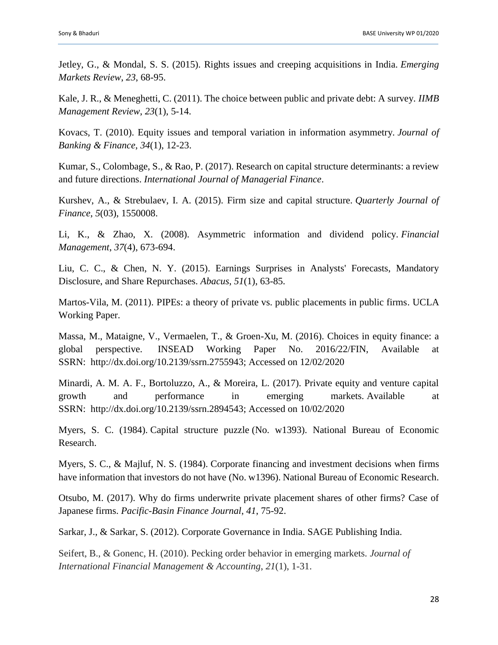Jetley, G., & Mondal, S. S. (2015). Rights issues and creeping acquisitions in India. *Emerging Markets Review*, *23*, 68-95.

Kale, J. R., & Meneghetti, C. (2011). The choice between public and private debt: A survey. *IIMB Management Review*, *23*(1), 5-14.

Kovacs, T. (2010). Equity issues and temporal variation in information asymmetry. *Journal of Banking & Finance*, *34*(1), 12-23.

Kumar, S., Colombage, S., & Rao, P. (2017). Research on capital structure determinants: a review and future directions. *International Journal of Managerial Finance*.

Kurshev, A., & Strebulaev, I. A. (2015). Firm size and capital structure. *Quarterly Journal of Finance*, *5*(03), 1550008.

Li, K., & Zhao, X. (2008). Asymmetric information and dividend policy. *Financial Management*, *37*(4), 673-694.

Liu, C. C., & Chen, N. Y. (2015). Earnings Surprises in Analysts' Forecasts, Mandatory Disclosure, and Share Repurchases. *Abacus*, *51*(1), 63-85.

Martos-Vila, M. (2011). PIPEs: a theory of private vs. public placements in public firms. UCLA Working Paper.

Massa, M., Mataigne, V., Vermaelen, T., & Groen-Xu, M. (2016). Choices in equity finance: a global perspective. INSEAD Working Paper No. 2016/22/FIN, Available at SSRN: [http://dx.doi.org/10.2139/ssrn.2755943;](https://dx.doi.org/10.2139/ssrn.2755943) Accessed on 12/02/2020

Minardi, A. M. A. F., Bortoluzzo, A., & Moreira, L. (2017). Private equity and venture capital growth and performance in emerging markets. Available at SSRN: [http://dx.doi.org/10.2139/ssrn.2894543;](https://dx.doi.org/10.2139/ssrn.2894543) Accessed on 10/02/2020

Myers, S. C. (1984). Capital structure puzzle (No. w1393). National Bureau of Economic Research.

Myers, S. C., & Majluf, N. S. (1984). Corporate financing and investment decisions when firms have information that investors do not have (No. w1396). National Bureau of Economic Research.

Otsubo, M. (2017). Why do firms underwrite private placement shares of other firms? Case of Japanese firms. *Pacific-Basin Finance Journal*, *41*, 75-92.

Sarkar, J., & Sarkar, S. (2012). Corporate Governance in India. SAGE Publishing India.

Seifert, B., & Gonenc, H. (2010). Pecking order behavior in emerging markets. *Journal of International Financial Management & Accounting*, *21*(1), 1-31.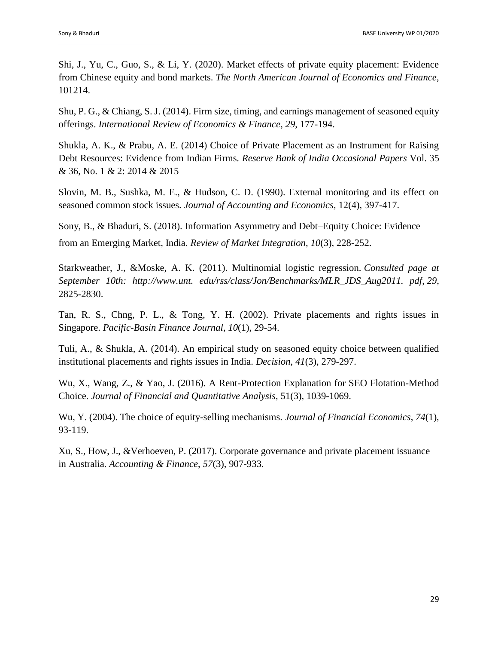Shi, J., Yu, C., Guo, S., & Li, Y. (2020). Market effects of private equity placement: Evidence from Chinese equity and bond markets. *The North American Journal of Economics and Finance*, 101214.

Shu, P. G., & Chiang, S. J. (2014). Firm size, timing, and earnings management of seasoned equity offerings. *International Review of Economics & Finance*, *29*, 177-194.

Shukla, A. K., & Prabu, A. E. (2014) Choice of Private Placement as an Instrument for Raising Debt Resources: Evidence from Indian Firms*. Reserve Bank of India Occasional Papers* Vol. 35 & 36, No. 1 & 2: 2014 & 2015

Slovin, M. B., Sushka, M. E., & Hudson, C. D. (1990). External monitoring and its effect on seasoned common stock issues. *Journal of Accounting and Economics,* 12(4), 397-417.

Sony, B., & Bhaduri, S. (2018). Information Asymmetry and Debt–Equity Choice: Evidence from an Emerging Market, India. *Review of Market Integration*, *10*(3), 228-252.

Starkweather, J., &Moske, A. K. (2011). Multinomial logistic regression. *Consulted page at September 10th: http://www.unt. edu/rss/class/Jon/Benchmarks/MLR\_JDS\_Aug2011. pdf*, *29*, 2825-2830.

Tan, R. S., Chng, P. L., & Tong, Y. H. (2002). Private placements and rights issues in Singapore. *Pacific-Basin Finance Journal*, *10*(1), 29-54.

Tuli, A., & Shukla, A. (2014). An empirical study on seasoned equity choice between qualified institutional placements and rights issues in India. *Decision*, *41*(3), 279-297.

Wu, X., Wang, Z., & Yao, J. (2016). A Rent-Protection Explanation for SEO Flotation-Method Choice. *Journal of Financial and Quantitative Analysis*, 51(3), 1039-1069.

Wu, Y. (2004). The choice of equity-selling mechanisms. *Journal of Financial Economics*, *74*(1), 93-119.

Xu, S., How, J., &Verhoeven, P. (2017). Corporate governance and private placement issuance in Australia. *Accounting & Finance*, *57*(3), 907-933.